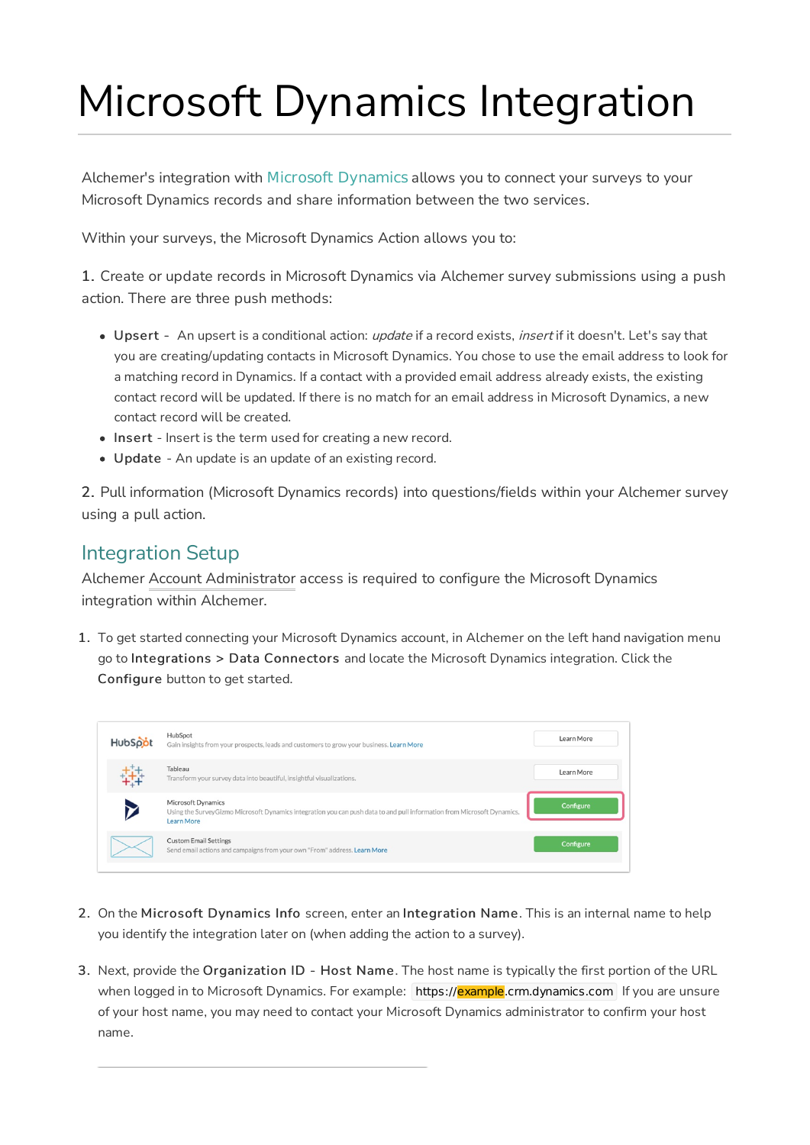# Microsoft Dynamics Integration

Alchemer's integration with Microsoft Dynamics allows you to connect your surveys to your Microsoft Dynamics records and share information between the two services.

Within your surveys, the Microsoft Dynamics Action allows you to:

1. Create or update records in Microsoft Dynamics via Alchemer survey submissions using a push action. There are three push methods:

- Upsert An upsert is a conditional action: *update* if a record exists, *insert* if it doesn't. Let's say that you are creating/updating contacts in Microsoft Dynamics. You chose to use the email address to look for a matching record in Dynamics. If a contact with a provided email address already exists, the existing contact record will be updated. If there is no match for an email address in Microsoft Dynamics, a new contact record will be created.
- Insert Insert is the term used for creating a new record.
- Update An update is an update of an existing record.

2. Pull information (Microsoft Dynamics records) into questions/fields within your Alchemer survey using a pull action.

## Integration Setup

Alchemer Account Administrator access is required to configure the Microsoft Dynamics integration within Alchemer.

1. To get started connecting your Microsoft Dynamics account, in Alchemer on the left hand navigation menu go to Integrations > Data Connectors and locate the Microsoft Dynamics integration. Click the Configure button to get started.

| HubSpot | HubSpot<br>Gain insights from your prospects, leads and customers to grow your business. Learn More                                                                       | Learn More |
|---------|---------------------------------------------------------------------------------------------------------------------------------------------------------------------------|------------|
|         | Tableau<br>Transform your survey data into beautiful, insightful visualizations.                                                                                          | Learn More |
|         | <b>Microsoft Dynamics</b><br>Using the SurveyGizmo Microsoft Dynamics integration you can push data to and pull information from Microsoft Dynamics.<br><b>Learn More</b> | Configure  |
|         | <b>Custom Email Settings</b><br>Send email actions and campaigns from your own "From" address. Learn More                                                                 | Configure  |

- 2. On the Microsoft Dynamics Info screen, enter an Integration Name. This is an internal name to help you identify the integration later on (when adding the action to a survey).
- 3. Next, provide the Organization ID Host Name. The host name is typically the first portion of the URL when logged in to Microsoft Dynamics. For example: https://example.crm.dynamics.com If you are unsure of your host name, you may need to contact your Microsoft Dynamics administrator to confirm your host name.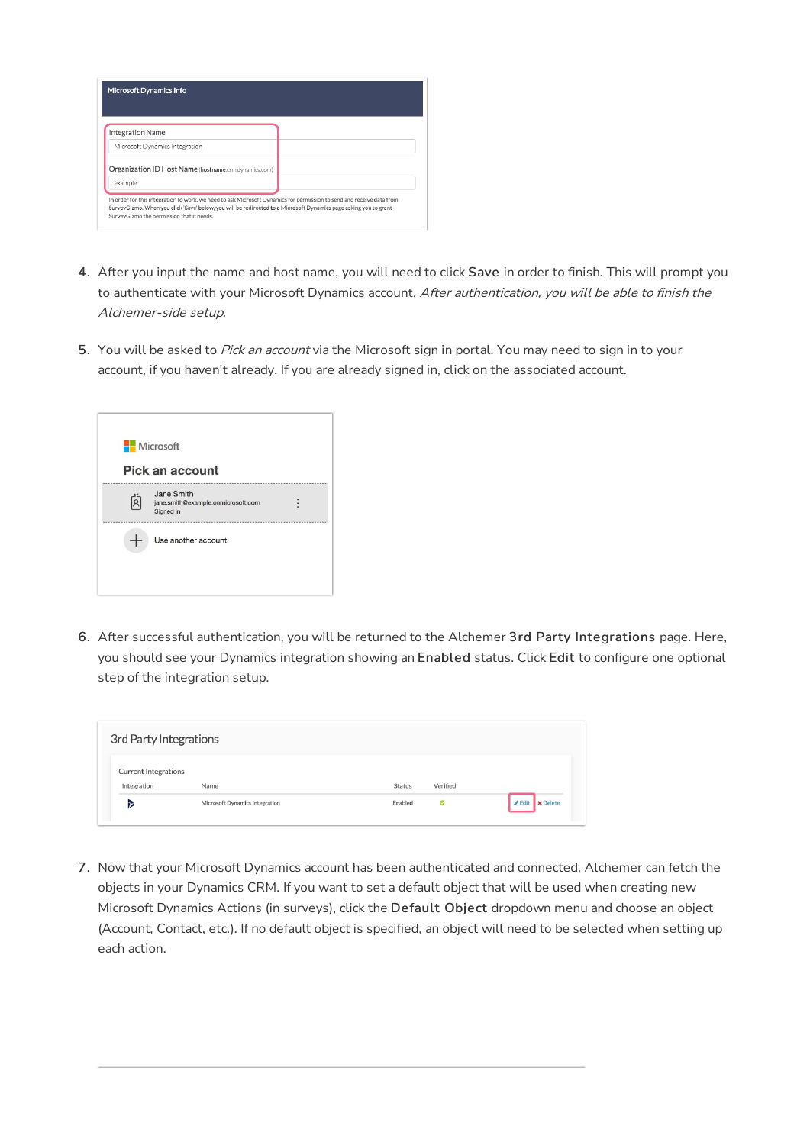| <b>Integration Name</b>        |                                                       |  |  |
|--------------------------------|-------------------------------------------------------|--|--|
| Microsoft Dynamics Integration |                                                       |  |  |
|                                | Organization ID Host Name (hostname.crm.dynamics.com) |  |  |
| example                        |                                                       |  |  |

- 4. After you input the name and host name, you will need to click Save in order to finish. This will prompt you to authenticate with your Microsoft Dynamics account. After authentication, you will be able to finish the Alchemer-side setup.
- 5. You will be asked to Pick an account via the Microsoft sign in portal. You may need to sign in to your account, if you haven't already. If you are already signed in, click on the associated account.



6. After successful authentication, you will be returned to the Alchemer 3rd Party Integrations page. Here, you should see your Dynamics integration showing an Enabled status. Click Edit to configure one optional step of the integration setup.

| 3rd Party Integrations                     |                                |                           |                                      |
|--------------------------------------------|--------------------------------|---------------------------|--------------------------------------|
| <b>Current Integrations</b><br>Integration | Name                           | Verified<br><b>Status</b> |                                      |
| צו                                         | Microsoft Dynamics Integration | Enabled<br>◎              | $\mathscr P$ Edit<br><b>x</b> Delete |

7. Now that your Microsoft Dynamics account has been authenticated and connected, Alchemer can fetch the objects in your Dynamics CRM. If you want to set a default object that will be used when creating new Microsoft Dynamics Actions (in surveys), click the Default Object dropdown menu and choose an object (Account, Contact, etc.). If no default object is specified, an object will need to be selected when setting up each action.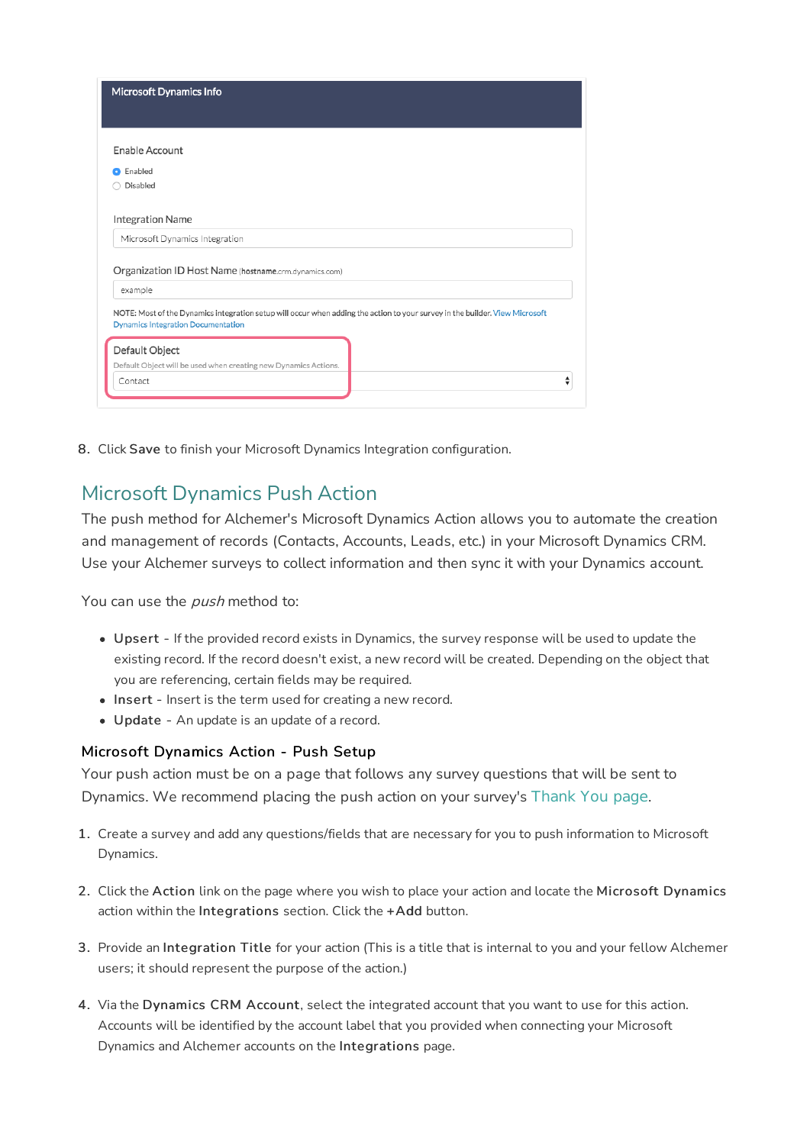| <b>Microsoft Dynamics Info</b>                                                                                                                                            |  |
|---------------------------------------------------------------------------------------------------------------------------------------------------------------------------|--|
| Enable Account                                                                                                                                                            |  |
| Enabled<br>Disabled                                                                                                                                                       |  |
| <b>Integration Name</b>                                                                                                                                                   |  |
| Microsoft Dynamics Integration                                                                                                                                            |  |
| Organization ID Host Name (hostname.crm.dynamics.com)                                                                                                                     |  |
| example                                                                                                                                                                   |  |
| NOTE: Most of the Dynamics integration setup will occur when adding the action to your survey in the builder. View Microsoft<br><b>Dynamics Integration Documentation</b> |  |
| Default Object                                                                                                                                                            |  |
| Default Object will be used when creating new Dynamics Actions.                                                                                                           |  |
| Contact                                                                                                                                                                   |  |

8. Click Save to finish your Microsoft Dynamics Integration configuration.

# Microsoft Dynamics Push Action

The push method for Alchemer's Microsoft Dynamics Action allows you to automate the creation and management of records (Contacts, Accounts, Leads, etc.) in your Microsoft Dynamics CRM. Use your Alchemer surveys to collect information and then sync it with your Dynamics account.

You can use the *push* method to:

- Upsert If the provided record exists in Dynamics, the survey response will be used to update the existing record. If the record doesn't exist, a new record will be created. Depending on the object that you are referencing, certain fields may be required.
- Insert Insert is the term used for creating a new record.
- Update An update is an update of a record.

#### Microsoft Dynamics Action - Push Setup

Your push action must be on a page that follows any survey questions that will be sent to Dynamics. We recommend placing the push action on your survey's Thank You page.

- 1. Create a survey and add any questions/fields that are necessary for you to push information to Microsoft Dynamics.
- 2. Click the Action link on the page where you wish to place your action and locate the Microsoft Dynamics action within the Integrations section. Click the +Add button.
- 3. Provide an Integration Title for your action (This is a title that is internal to you and your fellow Alchemer users; it should represent the purpose of the action.)
- 4. Via the Dynamics CRM Account, select the integrated account that you want to use for this action. Accounts will be identified by the account label that you provided when connecting your Microsoft Dynamics and Alchemer accounts on the Integrations page.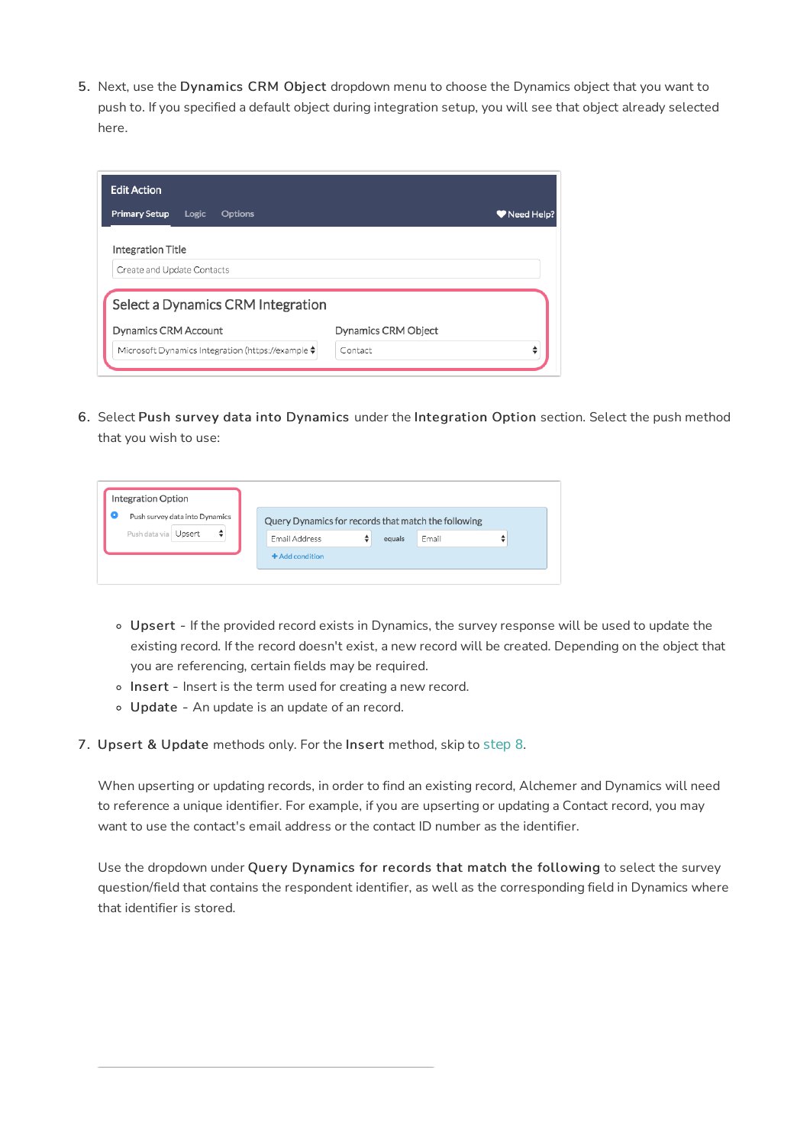5. Next, use the Dynamics CRM Object dropdown menu to choose the Dynamics object that you want to push to. If you specified a default object during integration setup, you will see that object already selected here.

| <b>Edit Action</b>                                |                     |              |
|---------------------------------------------------|---------------------|--------------|
| <b>Primary Setup</b><br><b>Options</b><br>Logic   |                     | W Need Help? |
| <b>Integration Title</b>                          |                     |              |
| Create and Update Contacts                        |                     |              |
| Select a Dynamics CRM Integration                 |                     |              |
| <b>Dynamics CRM Account</b>                       | Dynamics CRM Object |              |
| Microsoft Dynamics Integration (https://example ♦ | Contact             | ▼            |

6. Select Push survey data into Dynamics under the Integration Option section. Select the push method that you wish to use:

| Push survey data into Dynamics | Query Dynamics for records that match the following |        |       |  |
|--------------------------------|-----------------------------------------------------|--------|-------|--|
| Push data via Upsert           | <b>Email Address</b>                                | equals | Email |  |
|                                | $\pm$ Add condition                                 |        |       |  |

- Upsert If the provided record exists in Dynamics, the survey response will be used to update the existing record. If the record doesn't exist, a new record will be created. Depending on the object that you are referencing, certain fields may be required.
- o Insert Insert is the term used for creating a new record.
- Update An update is an update of an record.
- 7. Upsert & Update methods only. For the Insert method, skip to step 8.

When upserting or updating records, in order to find an existing record, Alchemer and Dynamics will need to reference a unique identifier. For example, if you are upserting or updating a Contact record, you may want to use the contact's email address or the contact ID number as the identifier.

Use the dropdown under Query Dynamics for records that match the following to select the survey question/field that contains the respondent identifier, as well as the corresponding field in Dynamics where that identifier is stored.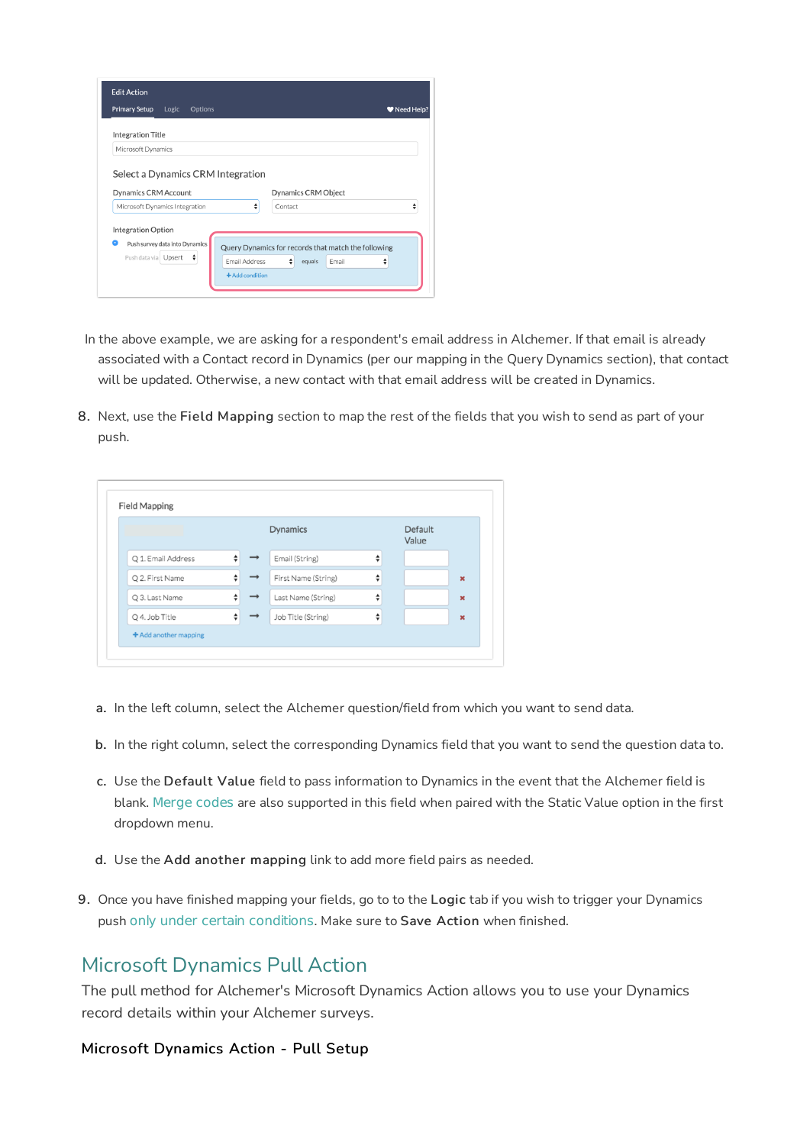| <b>Edit Action</b><br><b>Primary Setup</b><br><b>Options</b><br>Logic | Weed Help?                                                                                        |
|-----------------------------------------------------------------------|---------------------------------------------------------------------------------------------------|
| <b>Integration Title</b>                                              |                                                                                                   |
| Microsoft Dynamics                                                    |                                                                                                   |
| Dynamics CRM Account<br>Microsoft Dynamics Integration                | <b>Dynamics CRM Object</b><br>÷<br>÷<br>Contact                                                   |
| <b>Integration Option</b><br>Push survey data into Dynamics           |                                                                                                   |
| Push data via Upsert<br>÷                                             | Query Dynamics for records that match the following<br>÷<br>÷<br>Email Address<br>Email<br>equals |
|                                                                       | +Add condition                                                                                    |

- In the above example, we are asking for a respondent's email address in Alchemer. If that email is already associated with a Contact record in Dynamics (per our mapping in the Query Dynamics section), that contact will be updated. Otherwise, a new contact with that email address will be created in Dynamics.
- 8. Next, use the Field Mapping section to map the rest of the fields that you wish to send as part of your push.

|                    |   | <b>Dynamics</b>     |   | Default<br>Value |                |
|--------------------|---|---------------------|---|------------------|----------------|
| Q 1. Email Address |   | Email (String)      | ♦ |                  |                |
| Q 2. First Name    |   | First Name (String) | ♦ |                  | $\pmb{\times}$ |
| Q 3. Last Name     | ÷ | Last Name (String)  | ♦ |                  | $\mathbf x$    |
| Q 4. Job Title     | ÷ | Job Title (String)  | ♦ |                  | $\pmb{\times}$ |

- a. In the left column, select the Alchemer question/field from which you want to send data.
- b. In the right column, select the corresponding Dynamics field that you want to send the question data to.
- c. Use the Default Value field to pass information to Dynamics in the event that the Alchemer field is blank. Merge codes are also supported in this field when paired with the Static Value option in the first dropdown menu.
- d. Use the Add another mapping link to add more field pairs as needed.
- 9. Once you have finished mapping your fields, go to to the Logic tab if you wish to trigger your Dynamics push only under certain conditions. Make sure to Save Action when finished.

### Microsoft Dynamics Pull Action

The pull method for Alchemer's Microsoft Dynamics Action allows you to use your Dynamics record details within your Alchemer surveys.

#### Microsoft Dynamics Action - Pull Setup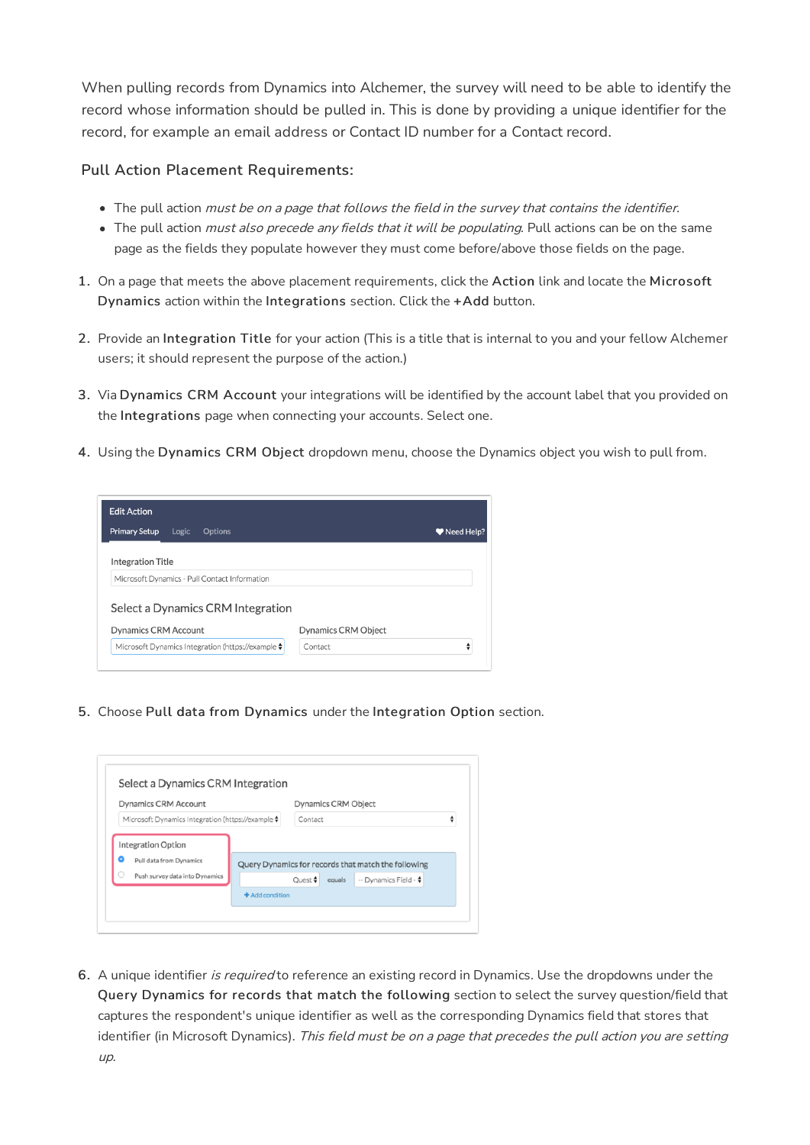When pulling records from Dynamics into Alchemer, the survey will need to be able to identify the record whose information should be pulled in. This is done by providing a unique identifier for the record, for example an email address or Contact ID number for a Contact record.

#### Pull Action Placement Requirements:

- The pull action *must be on a page that follows the field in the survey that contains the identifier.*
- The pull action *must also precede any fields that it will be populating*. Pull actions can be on the same page as the fields they populate however they must come before/above those fields on the page.
- 1. On a page that meets the above placement requirements, click the Action link and locate the Microsoft Dynamics action within the Integrations section. Click the +Add button.
- 2. Provide an Integration Title for your action (This is a title that is internal to you and your fellow Alchemer users; it should represent the purpose of the action.)
- 3. Via Dynamics CRM Account your integrations will be identified by the account label that you provided on the Integrations page when connecting your accounts. Select one.
- 4. Using the Dynamics CRM Object dropdown menu, choose the Dynamics object you wish to pull from.

| <b>Edit Action</b>                              |                     |              |
|-------------------------------------------------|---------------------|--------------|
| <b>Primary Setup</b><br><b>Options</b><br>Logic |                     | W Need Help? |
| <b>Integration Title</b>                        |                     |              |
| Microsoft Dynamics - Pull Contact Information   |                     |              |
|                                                 |                     |              |
|                                                 |                     |              |
| Select a Dynamics CRM Integration               |                     |              |
| Dynamics CRM Account                            | Dynamics CRM Object |              |

5. Choose Pull data from Dynamics under the Integration Option section.



6. A unique identifier is required to reference an existing record in Dynamics. Use the dropdowns under the Query Dynamics for records that match the following section to select the survey question/field that captures the respondent's unique identifier as well as the corresponding Dynamics field that stores that identifier (in Microsoft Dynamics). This field must be on a page that precedes the pull action you are setting up.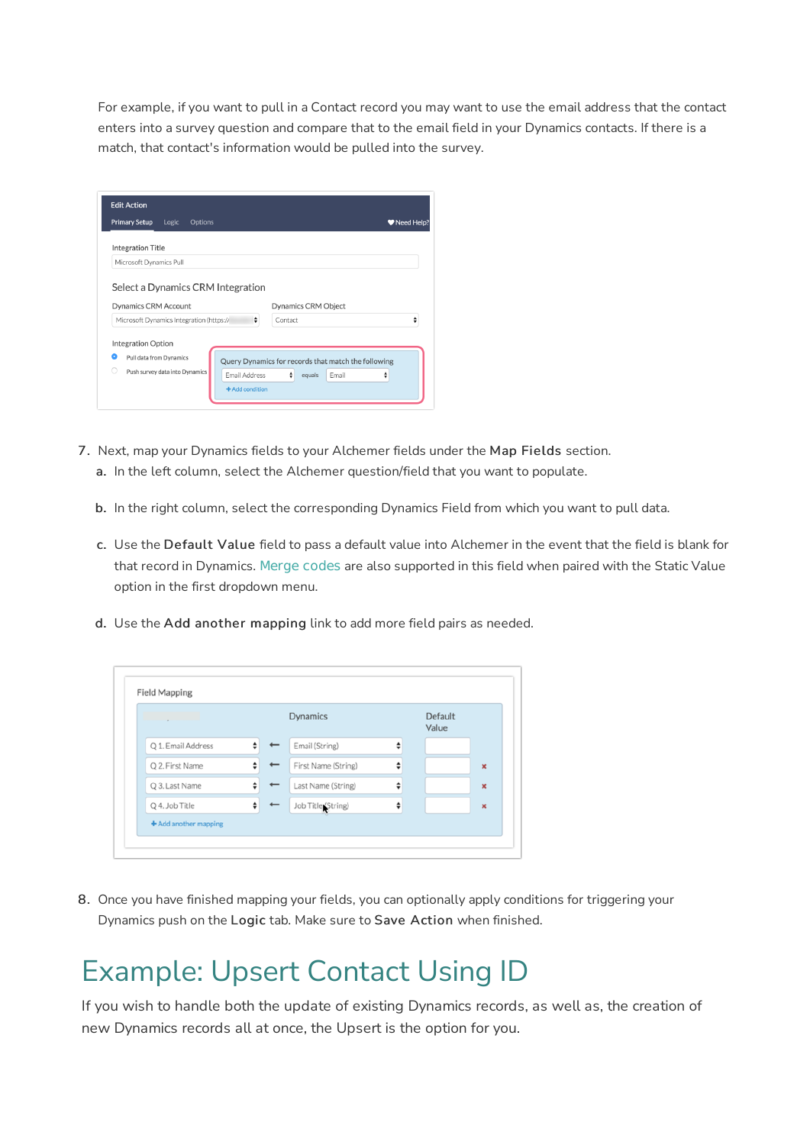For example, if you want to pull in a Contact record you may want to use the email address that the contact enters into a survey question and compare that to the email field in your Dynamics contacts. If there is a match, that contact's information would be pulled into the survey.

| <b>Primary Setup</b><br><b>Options</b><br>Logic           |                                                     |         |                     | Need Help? |
|-----------------------------------------------------------|-----------------------------------------------------|---------|---------------------|------------|
| <b>Integration Title</b>                                  |                                                     |         |                     |            |
| Microsoft Dynamics Pull                                   |                                                     |         |                     |            |
| Select a Dynamics CRM Integration<br>Dynamics CRM Account |                                                     |         | Dynamics CRM Object |            |
| Microsoft Dynamics Integration (https://                  | ÷                                                   | Contact |                     | ÷          |
|                                                           |                                                     |         |                     |            |
| <b>Integration Option</b><br>Pull data from Dynamics      | Query Dynamics for records that match the following |         |                     |            |

- 7. Next, map your Dynamics fields to your Alchemer fields under the Map Fields section. a. In the left column, select the Alchemer question/field that you want to populate.
	- b. In the right column, select the corresponding Dynamics Field from which you want to pull data.
	- c. Use the Default Value field to pass a default value into Alchemer in the event that the field is blank for that record in Dynamics. Merge codes are also supported in this field when paired with the Static Value option in the first dropdown menu.
	- d. Use the Add another mapping link to add more field pairs as needed.

|                    |  | <b>Dynamics</b>     |   | Default<br>Value |             |
|--------------------|--|---------------------|---|------------------|-------------|
| Q 1. Email Address |  | Email (String)      | ÷ |                  |             |
| Q 2. First Name    |  | First Name (String) | ÷ |                  | $\mathbf x$ |
| Q 3. Last Name     |  | Last Name (String)  | ٠ |                  | $\mathbf x$ |
| Q 4. Job Title     |  | Job Title (String)  | ÷ |                  | $\mathbf x$ |

8. Once you have finished mapping your fields, you can optionally apply conditions for triggering your Dynamics push on the Logic tab. Make sure to Save Action when finished.

# Example: Upsert Contact Using ID

If you wish to handle both the update of existing Dynamics records, as well as, the creation of new Dynamics records all at once, the Upsert is the option for you.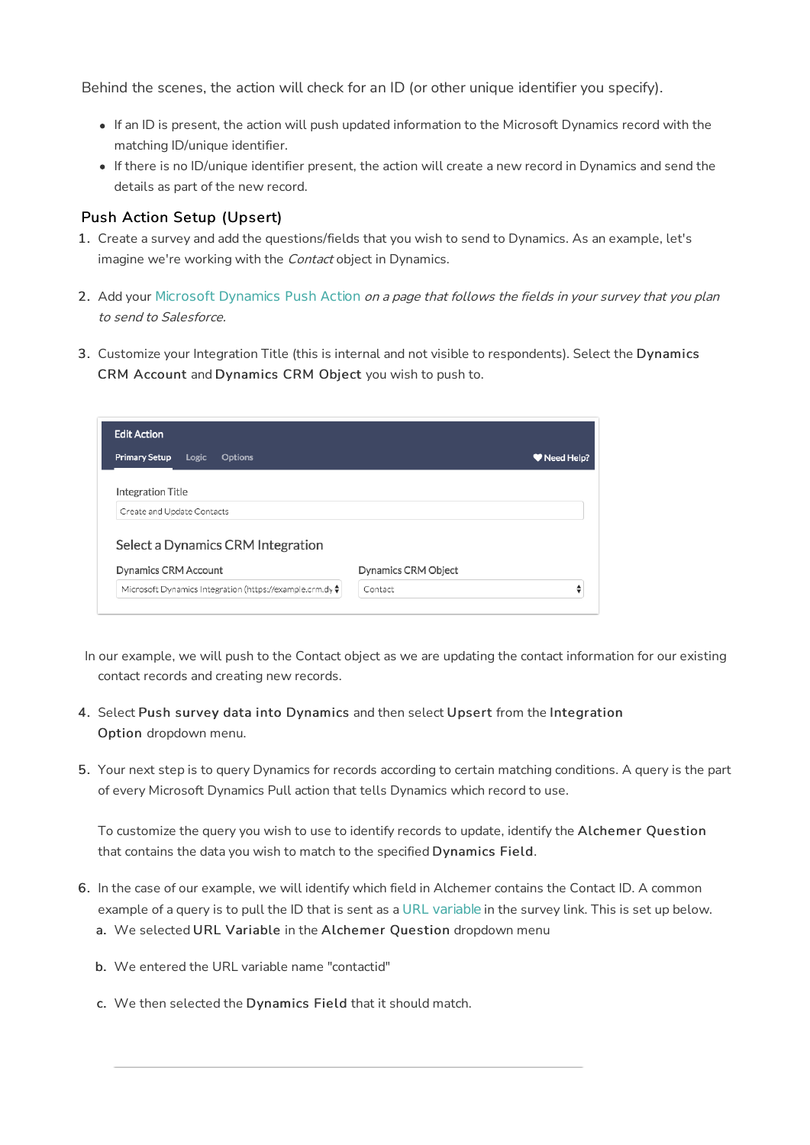Behind the scenes, the action will check for an ID (or other unique identifier you specify).

- If an ID is present, the action will push updated information to the Microsoft Dynamics record with the matching ID/unique identifier.
- If there is no ID/unique identifier present, the action will create a new record in Dynamics and send the details as part of the new record.

#### Push Action Setup (Upsert)

- 1. Create a survey and add the questions/fields that you wish to send to Dynamics. As an example, let's imagine we're working with the Contact object in Dynamics.
- 2. Add your Microsoft Dynamics Push Action on a page that follows the fields in your survey that you plan to send to Salesforce.
- 3. Customize your Integration Title (this is internal and not visible to respondents). Select the Dynamics CRM Account and Dynamics CRM Object you wish to push to.

| <b>Edit Action</b>                              |                            |            |
|-------------------------------------------------|----------------------------|------------|
| <b>Primary Setup</b><br><b>Options</b><br>Logic |                            | Need Help? |
| Integration Title                               |                            |            |
| Create and Update Contacts                      |                            |            |
|                                                 |                            |            |
|                                                 |                            |            |
| Select a Dynamics CRM Integration               |                            |            |
| Dynamics CRM Account                            | <b>Dynamics CRM Object</b> |            |

In our example, we will push to the Contact object as we are updating the contact information for our existing contact records and creating new records.

- 4. Select Push survey data into Dynamics and then select Upsert from the Integration Option dropdown menu.
- 5. Your next step is to query Dynamics for records according to certain matching conditions. A query is the part of every Microsoft Dynamics Pull action that tells Dynamics which record to use.

To customize the query you wish to use to identify records to update, identify the Alchemer Question that contains the data you wish to match to the specified Dynamics Field.

- 6. In the case of our example, we will identify which field in Alchemer contains the Contact ID. A common example of a query is to pull the ID that is sent as a URL variable in the survey link. This is set up below.
	- a. We selected URL Variable in the Alchemer Question dropdown menu
	- b. We entered the URL variable name "contactid"
	- c. We then selected the Dynamics Field that it should match.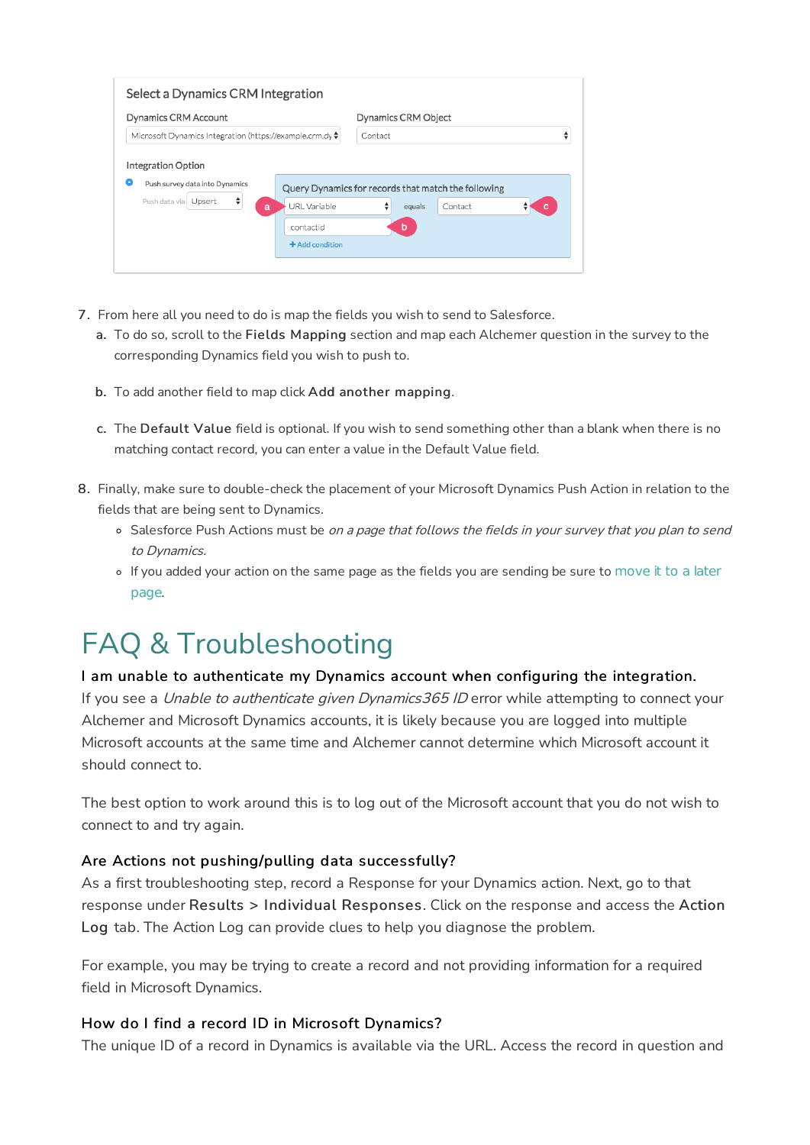| ▴<br>Contact<br>⊋<br>Push survey data into Dynamics<br>Query Dynamics for records that match the following<br>Push data via   Upsert<br>÷<br>÷<br>URL Variable<br>Contact<br>equals<br>a<br>с<br>b<br>contactid | Dynamics CRM Account<br>Microsoft Dynamics Integration (https://example.crm.dy ♦ |  | Dynamics CRM Object |  |  |
|-----------------------------------------------------------------------------------------------------------------------------------------------------------------------------------------------------------------|----------------------------------------------------------------------------------|--|---------------------|--|--|
|                                                                                                                                                                                                                 |                                                                                  |  |                     |  |  |
|                                                                                                                                                                                                                 |                                                                                  |  |                     |  |  |
|                                                                                                                                                                                                                 | <b>Integration Option</b><br>×                                                   |  |                     |  |  |

- 7. From here all you need to do is map the fields you wish to send to Salesforce.
	- a. To do so, scroll to the Fields Mapping section and map each Alchemer question in the survey to the corresponding Dynamics field you wish to push to.
	- b. To add another field to map click Add another mapping.
	- c. The Default Value field is optional. If you wish to send something other than a blank when there is no matching contact record, you can enter a value in the Default Value field.
- 8. Finally, make sure to double-check the placement of your Microsoft Dynamics Push Action in relation to the fields that are being sent to Dynamics.
	- o Salesforce Push Actions must be on a page that follows the fields in your survey that you plan to send to Dynamics.
	- If you added your action on the same page as the fields you are sending be sure to move it to a later page.

# FAQ & Troubleshooting

#### I am unable to authenticate my Dynamics account when configuring the integration.

If you see a *Unable to authenticate given Dynamics365 ID* error while attempting to connect your Alchemer and Microsoft Dynamics accounts, it is likely because you are logged into multiple Microsoft accounts at the same time and Alchemer cannot determine which Microsoft account it should connect to.

The best option to work around this is to log out of the Microsoft account that you do not wish to connect to and try again.

#### Are Actions not pushing/pulling data successfully?

As a first troubleshooting step, record a Response for your Dynamics action. Next, go to that response under Results > Individual Responses. Click on the response and access the Action Log tab. The Action Log can provide clues to help you diagnose the problem.

For example, you may be trying to create a record and not providing information for a required field in Microsoft Dynamics.

#### How do I find a record ID in Microsoft Dynamics?

The unique ID of a record in Dynamics is available via the URL. Access the record in question and